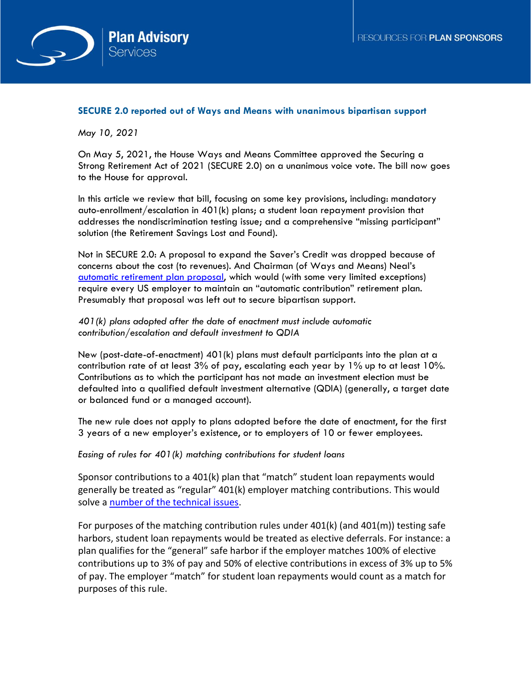

## **SECURE 2.0 reported out of Ways and Means with unanimous bipartisan support**

*May 10, 2021*

On May 5, 2021, the House Ways and Means Committee approved the Securing a Strong Retirement Act of 2021 (SECURE 2.0) on a unanimous voice vote. The bill now goes to the House for approval.

In this article we review that bill, focusing on some key provisions, including: mandatory auto-enrollment/escalation in 401(k) plans; a student loan repayment provision that addresses the nondiscrimination testing issue; and a comprehensive "missing participant" solution (the Retirement Savings Lost and Found).

Not in SECURE 2.0: A proposal to expand the Saver's Credit was dropped because of concerns about the cost (to revenues). And Chairman (of Ways and Means) Neal's [automatic retirement plan proposal,](https://www.octoberthree.com/current-legislation-neal-automatic-retirement-plan-proposal/) which would (with some very limited exceptions) require every US employer to maintain an "automatic contribution" retirement plan. Presumably that proposal was left out to secure bipartisan support.

## *401(k) plans adopted after the date of enactment must include automatic contribution/escalation and default investment to QDIA*

New (post-date-of-enactment) 401(k) plans must default participants into the plan at a contribution rate of at least 3% of pay, escalating each year by 1% up to at least 10%. Contributions as to which the participant has not made an investment election must be defaulted into a qualified default investment alternative (QDIA) (generally, a target date or balanced fund or a managed account).

The new rule does not apply to plans adopted before the date of enactment, for the first 3 years of a new employer's existence, or to employers of 10 or fewer employees.

*Easing of rules for 401(k) matching contributions for student loans*

Sponsor contributions to a 401(k) plan that "match" student loan repayments would generally be treated as "regular" 401(k) employer matching contributions. This would solve a [number of the technical issues.](https://www.octoberthree.com/student-loan-repayment-programs-outstanding-issues/)

For purposes of the matching contribution rules under 401(k) (and 401(m)) testing safe harbors, student loan repayments would be treated as elective deferrals. For instance: a plan qualifies for the "general" safe harbor if the employer matches 100% of elective contributions up to 3% of pay and 50% of elective contributions in excess of 3% up to 5% of pay. The employer "match" for student loan repayments would count as a match for purposes of this rule.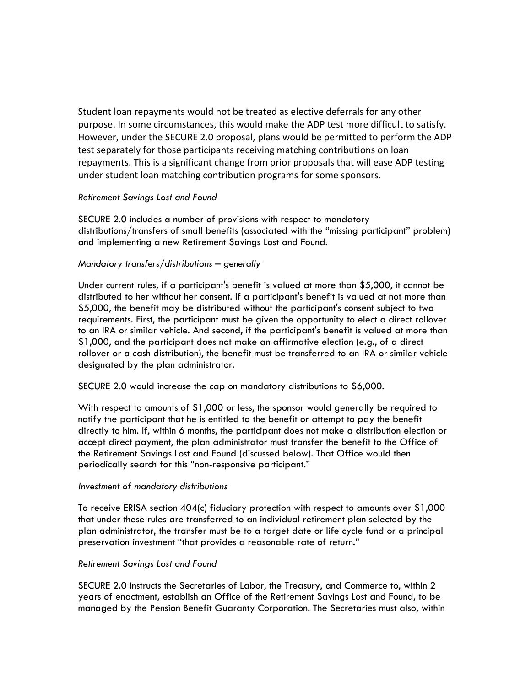Student loan repayments would not be treated as elective deferrals for any other purpose. In some circumstances, this would make the ADP test more difficult to satisfy. However, under the SECURE 2.0 proposal, plans would be permitted to perform the ADP test separately for those participants receiving matching contributions on loan repayments. This is a significant change from prior proposals that will ease ADP testing under student loan matching contribution programs for some sponsors.

# *Retirement Savings Lost and Found*

SECURE 2.0 includes a number of provisions with respect to mandatory distributions/transfers of small benefits (associated with the "missing participant" problem) and implementing a new Retirement Savings Lost and Found.

### *Mandatory transfers/distributions – generally*

Under current rules, if a participant's benefit is valued at more than \$5,000, it cannot be distributed to her without her consent. If a participant's benefit is valued at not more than \$5,000, the benefit may be distributed without the participant's consent subject to two requirements. First, the participant must be given the opportunity to elect a direct rollover to an IRA or similar vehicle. And second, if the participant's benefit is valued at more than \$1,000, and the participant does not make an affirmative election (e.g., of a direct rollover or a cash distribution), the benefit must be transferred to an IRA or similar vehicle designated by the plan administrator.

SECURE 2.0 would increase the cap on mandatory distributions to \$6,000.

With respect to amounts of \$1,000 or less, the sponsor would generally be required to notify the participant that he is entitled to the benefit or attempt to pay the benefit directly to him. If, within 6 months, the participant does not make a distribution election or accept direct payment, the plan administrator must transfer the benefit to the Office of the Retirement Savings Lost and Found (discussed below). That Office would then periodically search for this "non-responsive participant."

### *Investment of mandatory distributions*

To receive ERISA section 404(c) fiduciary protection with respect to amounts over \$1,000 that under these rules are transferred to an individual retirement plan selected by the plan administrator, the transfer must be to a target date or life cycle fund or a principal preservation investment "that provides a reasonable rate of return."

### *Retirement Savings Lost and Found*

SECURE 2.0 instructs the Secretaries of Labor, the Treasury, and Commerce to, within 2 years of enactment, establish an Office of the Retirement Savings Lost and Found, to be managed by the Pension Benefit Guaranty Corporation. The Secretaries must also, within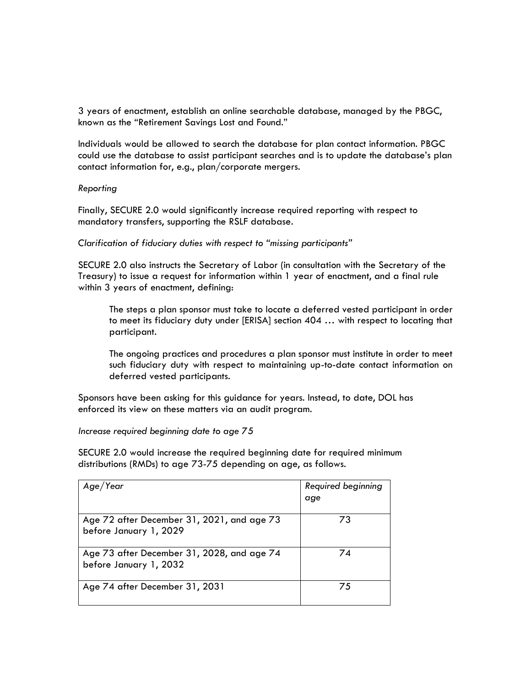3 years of enactment, establish an online searchable database, managed by the PBGC, known as the "Retirement Savings Lost and Found."

Individuals would be allowed to search the database for plan contact information. PBGC could use the database to assist participant searches and is to update the database's plan contact information for, e.g., plan/corporate mergers.

# *Reporting*

Finally, SECURE 2.0 would significantly increase required reporting with respect to mandatory transfers, supporting the RSLF database.

*Clarification of fiduciary duties with respect to "missing participants"*

SECURE 2.0 also instructs the Secretary of Labor (in consultation with the Secretary of the Treasury) to issue a request for information within 1 year of enactment, and a final rule within 3 years of enactment, defining:

The steps a plan sponsor must take to locate a deferred vested participant in order to meet its fiduciary duty under [ERISA] section 404 … with respect to locating that participant.

The ongoing practices and procedures a plan sponsor must institute in order to meet such fiduciary duty with respect to maintaining up-to-date contact information on deferred vested participants.

Sponsors have been asking for this guidance for years. Instead, to date, DOL has enforced its view on these matters via an audit program.

*Increase required beginning date to age 75*

SECURE 2.0 would increase the required beginning date for required minimum distributions (RMDs) to age 73-75 depending on age, as follows.

| Age/Year                                                             | Required beginning<br>age |
|----------------------------------------------------------------------|---------------------------|
| Age 72 after December 31, 2021, and age 73<br>before January 1, 2029 | 73                        |
| Age 73 after December 31, 2028, and age 74<br>before January 1, 2032 | 74                        |
| Age 74 after December 31, 2031                                       | 75                        |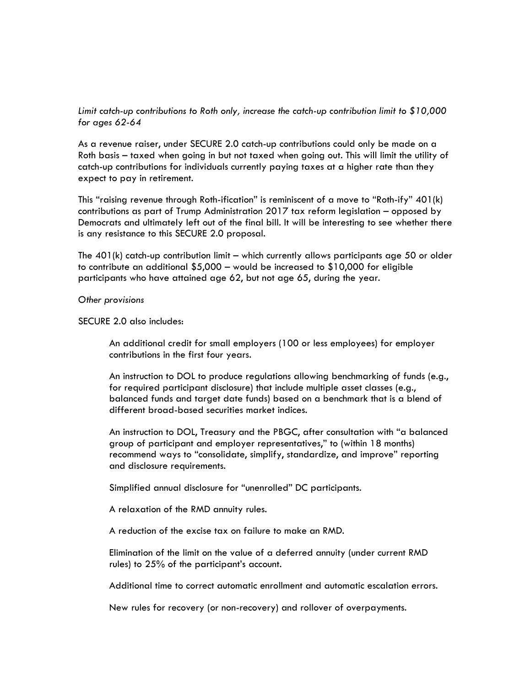*Limit catch-up contributions to Roth only, increase the catch-up contribution limit to \$10,000 for ages 62-64* 

As a revenue raiser, under SECURE 2.0 catch-up contributions could only be made on a Roth basis – taxed when going in but not taxed when going out. This will limit the utility of catch-up contributions for individuals currently paying taxes at a higher rate than they expect to pay in retirement.

This "raising revenue through Roth-ification" is reminiscent of a move to "Roth-ify" 401(k) contributions as part of Trump Administration 2017 tax reform legislation – opposed by Democrats and ultimately left out of the final bill. It will be interesting to see whether there is any resistance to this SECURE 2.0 proposal.

The  $401(k)$  catch-up contribution limit – which currently allows participants age 50 or older to contribute an additional \$5,000 – would be increased to \$10,000 for eligible participants who have attained age 62, but not age 65, during the year.

*Other provisions*

SECURE 2.0 also includes:

An additional credit for small employers (100 or less employees) for employer contributions in the first four years.

An instruction to DOL to produce regulations allowing benchmarking of funds (e.g., for required participant disclosure) that include multiple asset classes (e.g., balanced funds and target date funds) based on a benchmark that is a blend of different broad-based securities market indices.

An instruction to DOL, Treasury and the PBGC, after consultation with "a balanced group of participant and employer representatives," to (within 18 months) recommend ways to "consolidate, simplify, standardize, and improve" reporting and disclosure requirements.

Simplified annual disclosure for "unenrolled" DC participants.

A relaxation of the RMD annuity rules.

A reduction of the excise tax on failure to make an RMD.

Elimination of the limit on the value of a deferred annuity (under current RMD rules) to 25% of the participant's account.

Additional time to correct automatic enrollment and automatic escalation errors.

New rules for recovery (or non-recovery) and rollover of overpayments.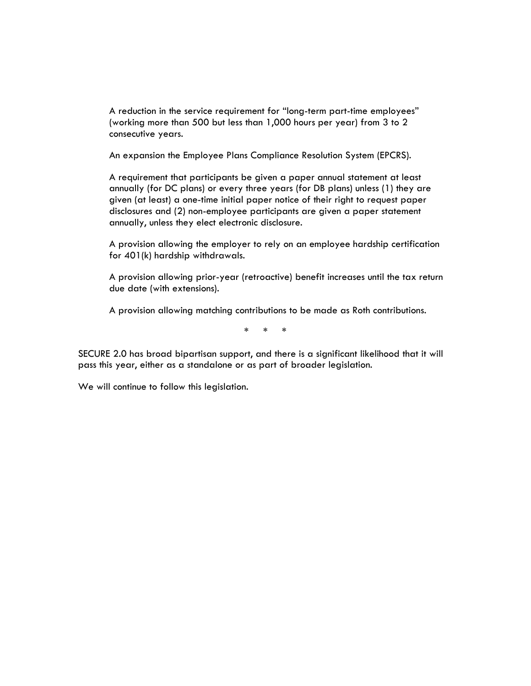A reduction in the service requirement for "long-term part-time employees" (working more than 500 but less than 1,000 hours per year) from 3 to 2 consecutive years.

An expansion the Employee Plans Compliance Resolution System (EPCRS).

A requirement that participants be given a paper annual statement at least annually (for DC plans) or every three years (for DB plans) unless (1) they are given (at least) a one-time initial paper notice of their right to request paper disclosures and (2) non-employee participants are given a paper statement annually, unless they elect electronic disclosure.

A provision allowing the employer to rely on an employee hardship certification for 401(k) hardship withdrawals.

A provision allowing prior-year (retroactive) benefit increases until the tax return due date (with extensions).

A provision allowing matching contributions to be made as Roth contributions.

\* \* \*

SECURE 2.0 has broad bipartisan support, and there is a significant likelihood that it will pass this year, either as a standalone or as part of broader legislation.

We will continue to follow this legislation.